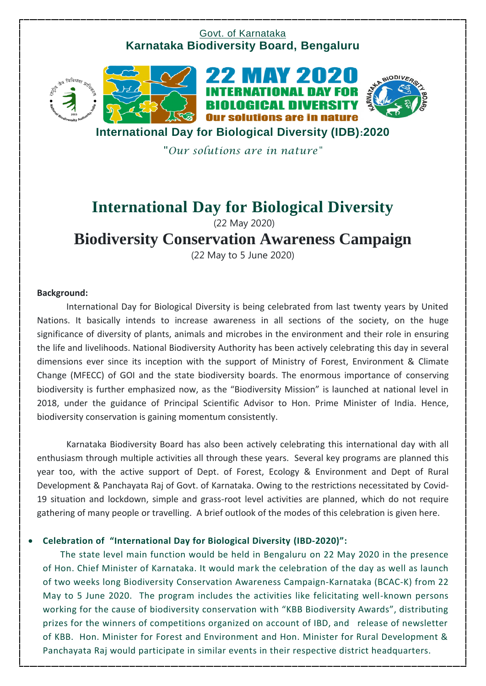### Govt. of Karnataka **Karnataka Biodiversity Board, Bengaluru**



**International Day for Biological Diversity (IDB):2020**

"*Our solutions are in nature"*

## **International Day for Biological Diversity**  (22 May 2020)

# **Biodiversity Conservation Awareness Campaign**

(22 May to 5 June 2020)

#### **Background:**

International Day for Biological Diversity is being celebrated from last twenty years by United Nations. It basically intends to increase awareness in all sections of the society, on the huge significance of diversity of plants, animals and microbes in the environment and their role in ensuring the life and livelihoods. National Biodiversity Authority has been actively celebrating this day in several dimensions ever since its inception with the support of Ministry of Forest, Environment & Climate Change (MFECC) of GOI and the state biodiversity boards. The enormous importance of conserving biodiversity is further emphasized now, as the "Biodiversity Mission" is launched at national level in 2018, under the guidance of Principal Scientific Advisor to Hon. Prime Minister of India. Hence, biodiversity conservation is gaining momentum consistently.

Karnataka Biodiversity Board has also been actively celebrating this international day with all enthusiasm through multiple activities all through these years. Several key programs are planned this year too, with the active support of Dept. of Forest, Ecology & Environment and Dept of Rural Development & Panchayata Raj of Govt. of Karnataka. Owing to the restrictions necessitated by Covid-19 situation and lockdown, simple and grass-root level activities are planned, which do not require gathering of many people or travelling. A brief outlook of the modes of this celebration is given here.

#### **Celebration of "International Day for Biological Diversity (IBD-2020)":**

The state level main function would be held in Bengaluru on 22 May 2020 in the presence of Hon. Chief Minister of Karnataka. It would mark the celebration of the day as well as launch of two weeks long Biodiversity Conservation Awareness Campaign-Karnataka (BCAC-K) from 22 May to 5 June 2020. The program includes the activities like felicitating well-known persons working for the cause of biodiversity conservation with "KBB Biodiversity Awards", distributing prizes for the winners of competitions organized on account of IBD, and release of newsletter of KBB. Hon. Minister for Forest and Environment and Hon. Minister for Rural Development & Panchayata Raj would participate in similar events in their respective district headquarters.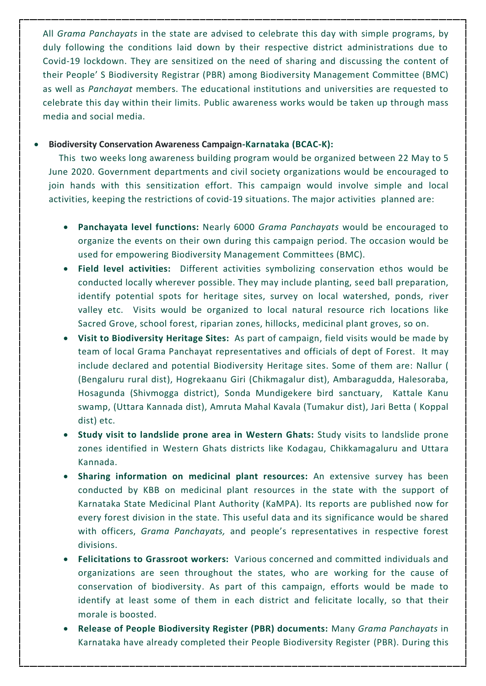All *Grama Panchayats* in the state are advised to celebrate this day with simple programs, by duly following the conditions laid down by their respective district administrations due to Covid-19 lockdown. They are sensitized on the need of sharing and discussing the content of their People' S Biodiversity Registrar (PBR) among Biodiversity Management Committee (BMC) as well as *Panchayat* members. The educational institutions and universities are requested to celebrate this day within their limits. Public awareness works would be taken up through mass media and social media.

#### **Biodiversity Conservation Awareness Campaign-Karnataka (BCAC-K):**

 This two weeks long awareness building program would be organized between 22 May to 5 June 2020. Government departments and civil society organizations would be encouraged to join hands with this sensitization effort. This campaign would involve simple and local activities, keeping the restrictions of covid-19 situations. The major activities planned are:

- **Panchayata level functions:** Nearly 6000 *Grama Panchayats* would be encouraged to organize the events on their own during this campaign period. The occasion would be used for empowering Biodiversity Management Committees (BMC).
- **Field level activities:** Different activities symbolizing conservation ethos would be conducted locally wherever possible. They may include planting, seed ball preparation, identify potential spots for heritage sites, survey on local watershed, ponds, river valley etc. Visits would be organized to local natural resource rich locations like Sacred Grove, school forest, riparian zones, hillocks, medicinal plant groves, so on.
- **Visit to Biodiversity Heritage Sites:** As part of campaign, field visits would be made by team of local Grama Panchayat representatives and officials of dept of Forest. It may include declared and potential Biodiversity Heritage sites. Some of them are: Nallur ( (Bengaluru rural dist), Hogrekaanu Giri (Chikmagalur dist), Ambaragudda, Halesoraba, Hosagunda (Shivmogga district), Sonda Mundigekere bird sanctuary, Kattale Kanu swamp, (Uttara Kannada dist), Amruta Mahal Kavala (Tumakur dist), Jari Betta ( Koppal dist) etc.
- **Study visit to landslide prone area in Western Ghats:** Study visits to landslide prone zones identified in Western Ghats districts like Kodagau, Chikkamagaluru and Uttara Kannada.
- **Sharing information on medicinal plant resources:** An extensive survey has been conducted by KBB on medicinal plant resources in the state with the support of Karnataka State Medicinal Plant Authority (KaMPA). Its reports are published now for every forest division in the state. This useful data and its significance would be shared with officers, *Grama Panchayats,* and people's representatives in respective forest divisions.
- **Felicitations to Grassroot workers:** Various concerned and committed individuals and organizations are seen throughout the states, who are working for the cause of conservation of biodiversity. As part of this campaign, efforts would be made to identify at least some of them in each district and felicitate locally, so that their morale is boosted.
- **Release of People Biodiversity Register (PBR) documents:** Many *Grama Panchayats* in Karnataka have already completed their People Biodiversity Register (PBR). During this